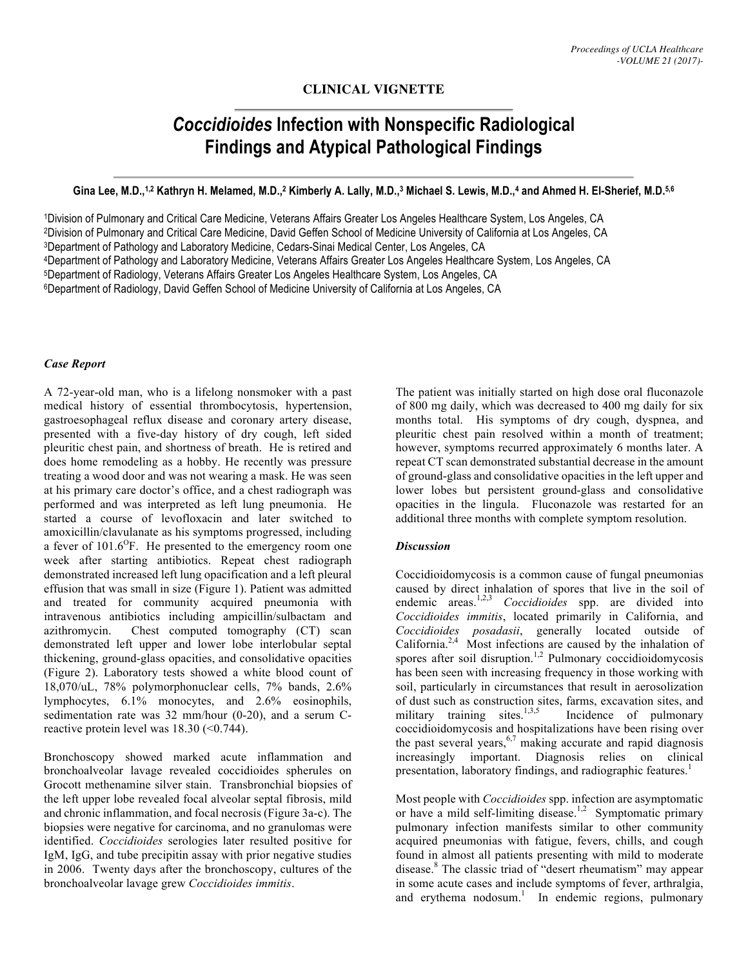# **CLINICAL VIGNETTE**

# *Coccidioides* **Infection with Nonspecific Radiological Findings and Atypical Pathological Findings**

#### Gina Lee, M.D.,<sup>1,2</sup> Kathryn H. Melamed, M.D.,<sup>2</sup> Kimberly A. Lally, M.D.,<sup>3</sup> Michael S. Lewis, M.D.,<sup>4</sup> and Ahmed H. El-Sherief, M.D.<sup>5,6</sup>

1Division of Pulmonary and Critical Care Medicine, Veterans Affairs Greater Los Angeles Healthcare System, Los Angeles, CA 2Division of Pulmonary and Critical Care Medicine, David Geffen School of Medicine University of California at Los Angeles, CA 3Department of Pathology and Laboratory Medicine, Cedars-Sinai Medical Center, Los Angeles, CA 4Department of Pathology and Laboratory Medicine, Veterans Affairs Greater Los Angeles Healthcare System, Los Angeles, CA 5Department of Radiology, Veterans Affairs Greater Los Angeles Healthcare System, Los Angeles, CA 6Department of Radiology, David Geffen School of Medicine University of California at Los Angeles, CA

#### *Case Report*

A 72-year-old man, who is a lifelong nonsmoker with a past medical history of essential thrombocytosis, hypertension, gastroesophageal reflux disease and coronary artery disease, presented with a five-day history of dry cough, left sided pleuritic chest pain, and shortness of breath. He is retired and does home remodeling as a hobby. He recently was pressure treating a wood door and was not wearing a mask. He was seen at his primary care doctor's office, and a chest radiograph was performed and was interpreted as left lung pneumonia. He started a course of levofloxacin and later switched to amoxicillin/clavulanate as his symptoms progressed, including a fever of  $101.6^{\circ}$ F. He presented to the emergency room one week after starting antibiotics. Repeat chest radiograph demonstrated increased left lung opacification and a left pleural effusion that was small in size (Figure 1). Patient was admitted and treated for community acquired pneumonia with intravenous antibiotics including ampicillin/sulbactam and azithromycin. Chest computed tomography (CT) scan demonstrated left upper and lower lobe interlobular septal thickening, ground-glass opacities, and consolidative opacities (Figure 2). Laboratory tests showed a white blood count of 18,070/uL, 78% polymorphonuclear cells, 7% bands, 2.6% lymphocytes, 6.1% monocytes, and 2.6% eosinophils, sedimentation rate was 32 mm/hour (0-20), and a serum Creactive protein level was 18.30 (<0.744).

Bronchoscopy showed marked acute inflammation and bronchoalveolar lavage revealed coccidioides spherules on Grocott methenamine silver stain. Transbronchial biopsies of the left upper lobe revealed focal alveolar septal fibrosis, mild and chronic inflammation, and focal necrosis (Figure 3a-c). The biopsies were negative for carcinoma, and no granulomas were identified. *Coccidioides* serologies later resulted positive for IgM, IgG, and tube precipitin assay with prior negative studies in 2006. Twenty days after the bronchoscopy, cultures of the bronchoalveolar lavage grew *Coccidioides immitis*.

The patient was initially started on high dose oral fluconazole of 800 mg daily, which was decreased to 400 mg daily for six months total. His symptoms of dry cough, dyspnea, and pleuritic chest pain resolved within a month of treatment; however, symptoms recurred approximately 6 months later. A repeat CT scan demonstrated substantial decrease in the amount of ground-glass and consolidative opacities in the left upper and lower lobes but persistent ground-glass and consolidative opacities in the lingula. Fluconazole was restarted for an additional three months with complete symptom resolution.

#### *Discussion*

Coccidioidomycosis is a common cause of fungal pneumonias caused by direct inhalation of spores that live in the soil of endemic areas.<sup>1,2,3</sup> *Coccidioides* spp. are divided into *Coccidioides immitis*, located primarily in California, and *Coccidioides posadasii*, generally located outside of California. $2,4$  Most infections are caused by the inhalation of spores after soil disruption.<sup>1,2</sup> Pulmonary coccidioidomycosis has been seen with increasing frequency in those working with soil, particularly in circumstances that result in aerosolization of dust such as construction sites, farms, excavation sites, and military training sites.<sup>1,3,5</sup> Incidence of pulmonary coccidioidomycosis and hospitalizations have been rising over the past several years,  $67$  making accurate and rapid diagnosis increasingly important. Diagnosis relies on clinical presentation, laboratory findings, and radiographic features.<sup>1</sup>

Most people with *Coccidioides* spp. infection are asymptomatic or have a mild self-limiting disease.<sup>1,2</sup> Symptomatic primary pulmonary infection manifests similar to other community acquired pneumonias with fatigue, fevers, chills, and cough found in almost all patients presenting with mild to moderate disease. <sup>8</sup> The classic triad of "desert rheumatism" may appear in some acute cases and include symptoms of fever, arthralgia, and erythema nodosum. 1 In endemic regions, pulmonary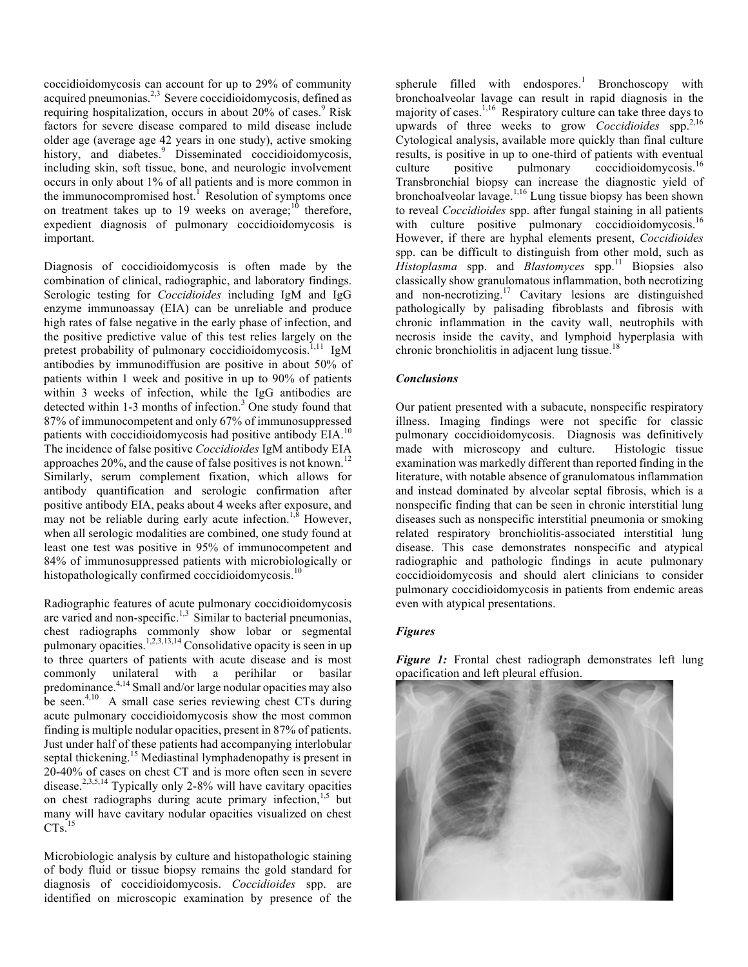coccidioidomycosis can account for up to 29% of community acquired pneumonias.<sup>2,3</sup> Severe coccidioidomycosis, defined as requiring hospitalization, occurs in about 20% of cases.<sup>9</sup> Risk factors for severe disease compared to mild disease include older age (average age 42 years in one study), active smoking history, and diabetes.<sup>9</sup> Disseminated coccidioidomycosis, including skin, soft tissue, bone, and neurologic involvement occurs in only about 1% of all patients and is more common in the immunocompromised host.<sup>1</sup> Resolution of symptoms once on treatment takes up to 19 weeks on average; $10$  therefore, expedient diagnosis of pulmonary coccidioidomycosis is important.

Diagnosis of coccidioidomycosis is often made by the combination of clinical, radiographic, and laboratory findings. Serologic testing for *Coccidioides* including IgM and IgG enzyme immunoassay (EIA) can be unreliable and produce high rates of false negative in the early phase of infection, and the positive predictive value of this test relies largely on the pretest probability of pulmonary coccidioidomycosis.<sup>1,11</sup> IgM antibodies by immunodiffusion are positive in about 50% of patients within 1 week and positive in up to 90% of patients within 3 weeks of infection, while the IgG antibodies are detected within 1-3 months of infection. <sup>3</sup> One study found that 87% of immunocompetent and only 67% of immunosuppressed patients with coccidioidomycosis had positive antibody EIA.<sup>10</sup> The incidence of false positive *Coccidioides* IgM antibody EIA approaches 20%, and the cause of false positives is not known.<sup>12</sup> Similarly, serum complement fixation, which allows for antibody quantification and serologic confirmation after positive antibody EIA, peaks about 4 weeks after exposure, and may not be reliable during early acute infection.<sup>1,8</sup> However, when all serologic modalities are combined, one study found at least one test was positive in 95% of immunocompetent and 84% of immunosuppressed patients with microbiologically or histopathologically confirmed coccidioidomycosis.<sup>10</sup>

Radiographic features of acute pulmonary coccidioidomycosis are varied and non-specific.<sup>1,3</sup> Similar to bacterial pneumonias, chest radiographs commonly show lobar or segmental pulmonary opacities.<sup>1,2,3,13,14</sup> Consolidative opacity is seen in up to three quarters of patients with acute disease and is most commonly unilateral with a perihilar or basilar predominance. 4,14 Small and/or large nodular opacities may also be seen.<sup>4,10</sup> A small case series reviewing chest CTs during acute pulmonary coccidioidomycosis show the most common finding is multiple nodular opacities, present in 87% of patients. Just under half of these patients had accompanying interlobular septal thickening.<sup>15</sup> Mediastinal lymphadenopathy is present in 20-40% of cases on chest CT and is more often seen in severe disease.<sup>2,3,5,14</sup> Typically only 2-8% will have cavitary opacities on chest radiographs during acute primary infection, 1,5 but many will have cavitary nodular opacities visualized on chest  $CTs.$ <sup>15</sup>

Microbiologic analysis by culture and histopathologic staining of body fluid or tissue biopsy remains the gold standard for diagnosis of coccidioidomycosis. *Coccidioides* spp. are identified on microscopic examination by presence of the

spherule filled with endospores.<sup>1</sup> Bronchoscopy with bronchoalveolar lavage can result in rapid diagnosis in the majority of cases.<sup>1,16</sup> Respiratory culture can take three days to upwards of three weeks to grow *Coccidioides* spp. 2,16 Cytological analysis, available more quickly than final culture results, is positive in up to one-third of patients with eventual culture positive pulmonary coccidioidomycosis.<sup>16</sup> Transbronchial biopsy can increase the diagnostic yield of bronchoalveolar lavage. 1,16 Lung tissue biopsy has been shown to reveal *Coccidioides* spp. after fungal staining in all patients with culture positive pulmonary coccidioidomycosis.<sup>16</sup> However, if there are hyphal elements present, *Coccidioides* spp. can be difficult to distinguish from other mold, such as *Histoplasma* spp. and *Blastomyces* spp. <sup>11</sup> Biopsies also classically show granulomatous inflammation, both necrotizing and non-necrotizing. <sup>17</sup> Cavitary lesions are distinguished pathologically by palisading fibroblasts and fibrosis with chronic inflammation in the cavity wall, neutrophils with necrosis inside the cavity, and lymphoid hyperplasia with chronic bronchiolitis in adjacent lung tissue.<sup>18</sup>

# *Conclusions*

Our patient presented with a subacute, nonspecific respiratory illness. Imaging findings were not specific for classic pulmonary coccidioidomycosis. Diagnosis was definitively made with microscopy and culture. Histologic tissue examination was markedly different than reported finding in the literature, with notable absence of granulomatous inflammation and instead dominated by alveolar septal fibrosis, which is a nonspecific finding that can be seen in chronic interstitial lung diseases such as nonspecific interstitial pneumonia or smoking related respiratory bronchiolitis-associated interstitial lung disease. This case demonstrates nonspecific and atypical radiographic and pathologic findings in acute pulmonary coccidioidomycosis and should alert clinicians to consider pulmonary coccidioidomycosis in patients from endemic areas even with atypical presentations.

# *Figures*

**Figure 1:** Frontal chest radiograph demonstrates left lung opacification and left pleural effusion.

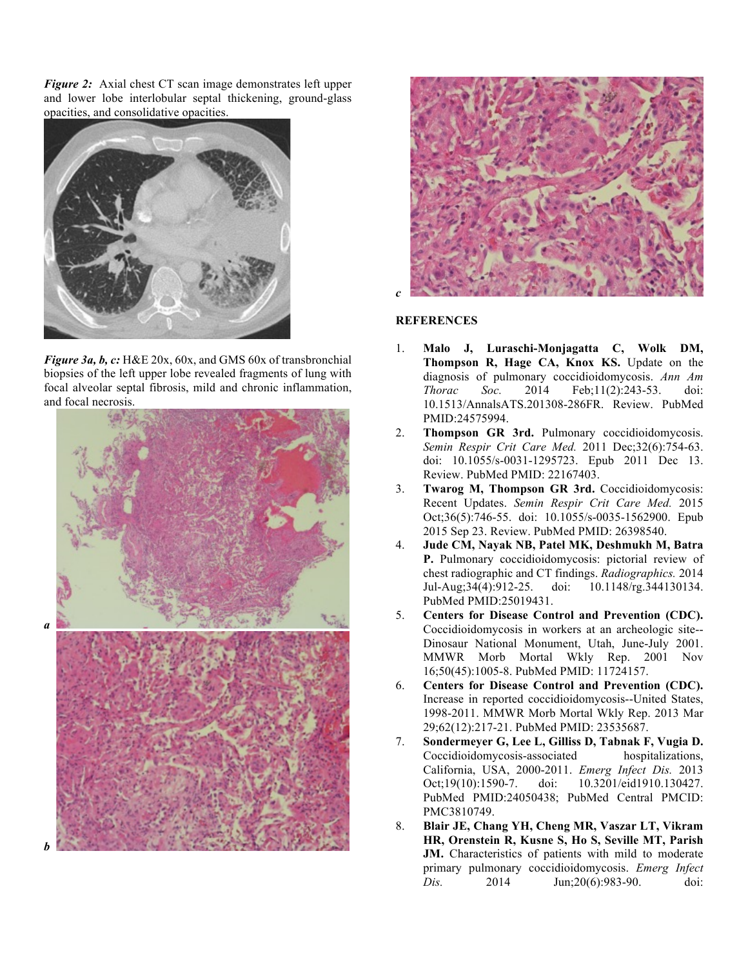*Figure 2:* Axial chest CT scan image demonstrates left upper and lower lobe interlobular septal thickening, ground-glass opacities, and consolidative opacities.



*Figure 3a, b, c:* H&E 20x, 60x, and GMS 60x of transbronchial biopsies of the left upper lobe revealed fragments of lung with focal alveolar septal fibrosis, mild and chronic inflammation, and focal necrosis.



*a* 



# **REFERENCES**

- 1. **Malo J, Luraschi-Monjagatta C, Wolk DM, Thompson R, Hage CA, Knox KS.** Update on the diagnosis of pulmonary coccidioidomycosis. *Ann Am Thorac Soc.* 2014 Feb;11(2):243-53. doi: 10.1513/AnnalsATS.201308-286FR. Review. PubMed PMID:24575994.
- 2. **Thompson GR 3rd.** Pulmonary coccidioidomycosis. *Semin Respir Crit Care Med.* 2011 Dec;32(6):754-63. doi: 10.1055/s-0031-1295723. Epub 2011 Dec 13. Review. PubMed PMID: 22167403.
- 3. **Twarog M, Thompson GR 3rd.** Coccidioidomycosis: Recent Updates. *Semin Respir Crit Care Med.* 2015 Oct;36(5):746-55. doi: 10.1055/s-0035-1562900. Epub 2015 Sep 23. Review. PubMed PMID: 26398540.
- 4. **Jude CM, Nayak NB, Patel MK, Deshmukh M, Batra P.** Pulmonary coccidioidomycosis: pictorial review of chest radiographic and CT findings. *Radiographics.* 2014 Jul-Aug;34(4):912-25. doi: 10.1148/rg.344130134. PubMed PMID:25019431.
- 5. **Centers for Disease Control and Prevention (CDC).** Coccidioidomycosis in workers at an archeologic site-- Dinosaur National Monument, Utah, June-July 2001. MMWR Morb Mortal Wkly Rep. 2001 Nov 16;50(45):1005-8. PubMed PMID: 11724157.
- 6. **Centers for Disease Control and Prevention (CDC).** Increase in reported coccidioidomycosis--United States, 1998-2011. MMWR Morb Mortal Wkly Rep. 2013 Mar 29;62(12):217-21. PubMed PMID: 23535687.
- 7. **Sondermeyer G, Lee L, Gilliss D, Tabnak F, Vugia D.** Coccidioidomycosis-associated hospitalizations, California, USA, 2000-2011. *Emerg Infect Dis.* 2013 Oct;19(10):1590-7. doi: 10.3201/eid1910.130427. PubMed PMID:24050438; PubMed Central PMCID: PMC3810749.
- 8. **Blair JE, Chang YH, Cheng MR, Vaszar LT, Vikram HR, Orenstein R, Kusne S, Ho S, Seville MT, Parish JM.** Characteristics of patients with mild to moderate primary pulmonary coccidioidomycosis. *Emerg Infect Dis.* 2014 Jun;20(6):983-90. doi: